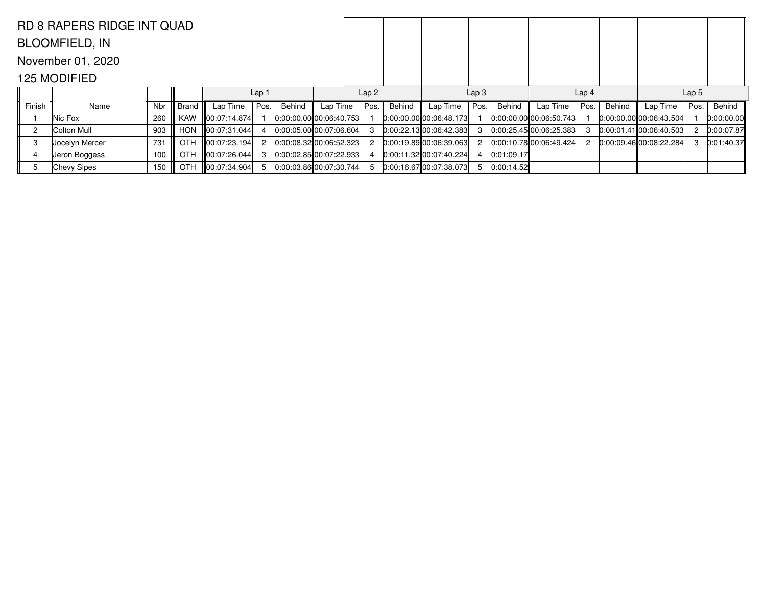|                | <b>RD 8 RAPERS RIDGE INT QUAD</b> |     |            |                    |                  |        |                             |                  |        |                           |                  |            |                             |                  |        |                             |                  |            |
|----------------|-----------------------------------|-----|------------|--------------------|------------------|--------|-----------------------------|------------------|--------|---------------------------|------------------|------------|-----------------------------|------------------|--------|-----------------------------|------------------|------------|
|                | <b>BLOOMFIELD, IN</b>             |     |            |                    |                  |        |                             |                  |        |                           |                  |            |                             |                  |        |                             |                  |            |
|                | November 01, 2020                 |     |            |                    |                  |        |                             |                  |        |                           |                  |            |                             |                  |        |                             |                  |            |
|                | 125 MODIFIED                      |     |            |                    |                  |        |                             |                  |        |                           |                  |            |                             |                  |        |                             |                  |            |
|                |                                   |     |            |                    | Lap <sub>1</sub> |        |                             | Lap <sub>2</sub> |        |                           | Lap <sub>3</sub> |            |                             | Lap <sub>4</sub> |        |                             | Lap <sub>5</sub> |            |
| Finish         | Name                              | Nbr | Brand      | Lap Time           | Pos.             | Behind | Lap Time                    | Pos.             | Behind | Lap Time                  | Pos.             | Behind     | Lap Time                    | Pos.             | Behind | Lap Time                    | Pos.             | Behind     |
|                | ∥Nic Fox                          | 260 | <b>KAW</b> | 00:07:14.874       |                  |        | $0:00:00.00$ 00:06:40.753   |                  |        | $0:00:00.00$ 00:06:48.173 |                  |            | $[0:00:00.00]$ 00:06:50.743 |                  |        | $[0:00:00.00]$ 00:06:43.504 |                  | 0:00:00.00 |
| $\overline{c}$ | Colton Mull                       | 903 | <b>HON</b> | $\ 00:07:31.044\ $ |                  |        | 0.00:05.00 00:07:06.604     |                  |        | 0:00:22.1300:06:42.383    |                  |            | 0:00:25.4500:06:25.383      |                  |        | 0:00:01.41100:06:40.503     |                  | 0:00:07.87 |
| 3              | Jocelyn Mercer                    | 731 | <b>OTH</b> |                    |                  |        | 0:00:08.32 00:06:52.323     |                  |        | 0.00:19.89 00:06:39.063   |                  |            | 0:00:10.7800:06:49.424      |                  |        | 0:00:09.4600:08:22.284      |                  | 0:01:40.37 |
|                | Jeron Boggess                     | 100 | <b>OTH</b> | 00:07:26.044       |                  |        | $[0:00:02.85]$ 00:07:22.933 |                  |        | 0:00:11.32 00:07:40.224   |                  | 0:01:09.17 |                             |                  |        |                             |                  |            |
| 5              | ∥Chevy Sipes                      | 150 | OTH        | 00:07:34.904       |                  |        | $0:00:03.86$ 00:07:30.744   |                  |        | 0:00:16.67 00:07:38.073   | 5                | 0:00:14.52 |                             |                  |        |                             |                  |            |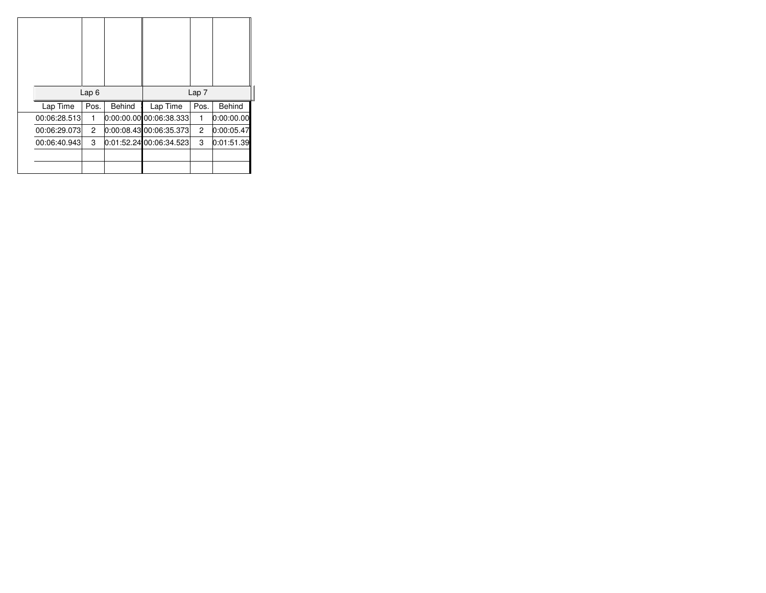| Lap <sub>7</sub><br>Lap6<br><b>Behind</b><br><b>Behind</b><br>Lap Time<br>Pos.<br>Pos.<br>Lap Time<br>$0:00:00.00$ 00:06:38.333<br>0:00:00.00<br>00:06:28.513<br>1<br>1<br>0:00:08.43 00:06:35.373<br>$\overline{c}$<br>0:00:05.47<br>2<br>00:06:29.073<br>0:01:52.2400:06:34.523<br>3<br>3<br>0:01:51.39<br>00:06:40.943 |  |  |  |
|---------------------------------------------------------------------------------------------------------------------------------------------------------------------------------------------------------------------------------------------------------------------------------------------------------------------------|--|--|--|
|                                                                                                                                                                                                                                                                                                                           |  |  |  |
|                                                                                                                                                                                                                                                                                                                           |  |  |  |
|                                                                                                                                                                                                                                                                                                                           |  |  |  |
|                                                                                                                                                                                                                                                                                                                           |  |  |  |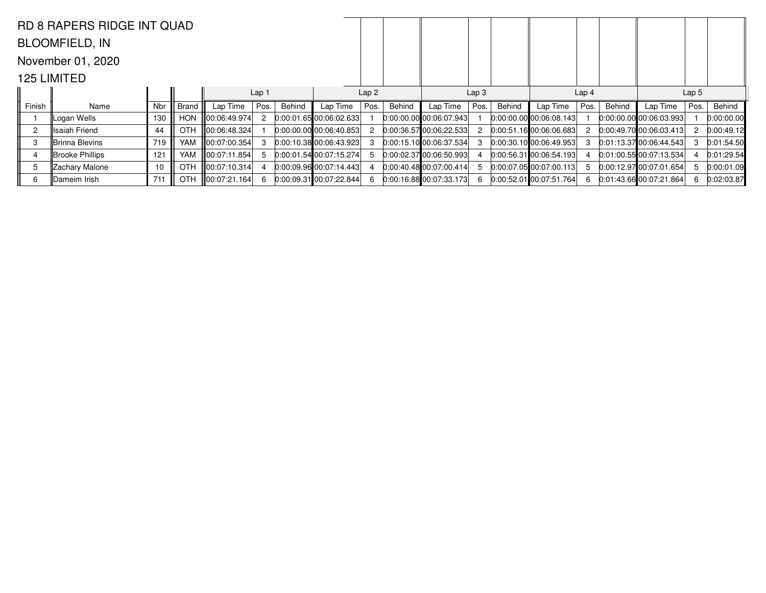|                | <b>RD 8 RAPERS RIDGE INT QUAD</b> |     |            |                  |                  |        |                             |                  |        |                             |                  |        |                                 |                  |        |                             |                  |            |
|----------------|-----------------------------------|-----|------------|------------------|------------------|--------|-----------------------------|------------------|--------|-----------------------------|------------------|--------|---------------------------------|------------------|--------|-----------------------------|------------------|------------|
|                | <b>BLOOMFIELD, IN</b>             |     |            |                  |                  |        |                             |                  |        |                             |                  |        |                                 |                  |        |                             |                  |            |
|                | November 01, 2020                 |     |            |                  |                  |        |                             |                  |        |                             |                  |        |                                 |                  |        |                             |                  |            |
|                | 125 LIMITED                       |     |            |                  |                  |        |                             |                  |        |                             |                  |        |                                 |                  |        |                             |                  |            |
|                |                                   |     |            |                  | Lap <sub>1</sub> |        |                             | Lap <sub>2</sub> |        |                             | Lap <sub>3</sub> |        |                                 | Lap <sub>4</sub> |        |                             | Lap <sub>5</sub> |            |
| Finish         | Name                              | Nbr | Brand      | Lap Time         | Pos.             | Behind | Lap Time                    | Pos.             | Behind | Lap Time                    | Pos.             | Behind | Lap Time                        | Pos.             | Behind | Lap Time                    | Pos.             | Behind     |
|                | Logan Wells                       | 130 | <b>HON</b> | ∥00:06:49.974    |                  |        | 0:00:01.65 00:06:02.633     |                  |        | 0.00.00.000000000007.943    |                  |        | $[0:00:00.00]$ 00:06:08.143     |                  |        | $0:00:00.00$ 00:06:03.993   |                  | 0:00:00.00 |
| $\overline{c}$ | lIsaiah Friend                    | 44  | <b>OTH</b> |                  |                  |        | $[0:00:00.00]$ 00:06:40.853 |                  |        | 0:00:36.5700:06:22.533      | 2                |        | [0:00:51.16]00:06:06.683]       | 2                |        | 0:00:49.70 00:06:03.413     |                  | 0:00:49.12 |
| 3              | Brinna Blevins                    | 719 | <b>YAM</b> | ∥00:07:00.354    |                  |        | 0:00:10.3800:06:43.923      |                  |        | $[0:00:15.10]$ 00:06:37.534 |                  |        | $[0:00:30.10]$ $[00:06:49.953]$ |                  |        | 0:01:13.37100:06:44.543     |                  | 0:01:54.50 |
|                | Brooke Phillips                   | 121 | <b>YAM</b> | III00:07:11.854  |                  |        | 0:00:01.5400:07:15.274      |                  |        | $[0:00:02.37]$ 00:06:50.993 |                  |        | $0:00:56.31$ 00:06:54.193       |                  |        | 0:01:00.5500:07:13.534      |                  | 0:01:29.54 |
| 5              | Zachary Malone                    | 10  | <b>OTH</b> |                  |                  |        | $[0:00:09.96]$ 00:07:14.443 |                  |        | 0:00:40.48 00:07:00.414     | 5                |        | 0:00:07.05 00:07:00.113         | 5                |        | $[0:00:12.97]$ 00:07:01.654 | 5                | 0:00:01.09 |
| 6              | Dameim Irish                      | 711 | <b>OTH</b> | III00:07:21.164L |                  |        | $0:00:09.31$ 00:07:22.844   |                  |        | $[0:00:16.88]$ 00:07:33.173 | 6                |        | 0:00:52.01 00:07:51.764         | 6                |        | $0:01:43.66$ 00:07:21.864   |                  | 0:02:03.87 |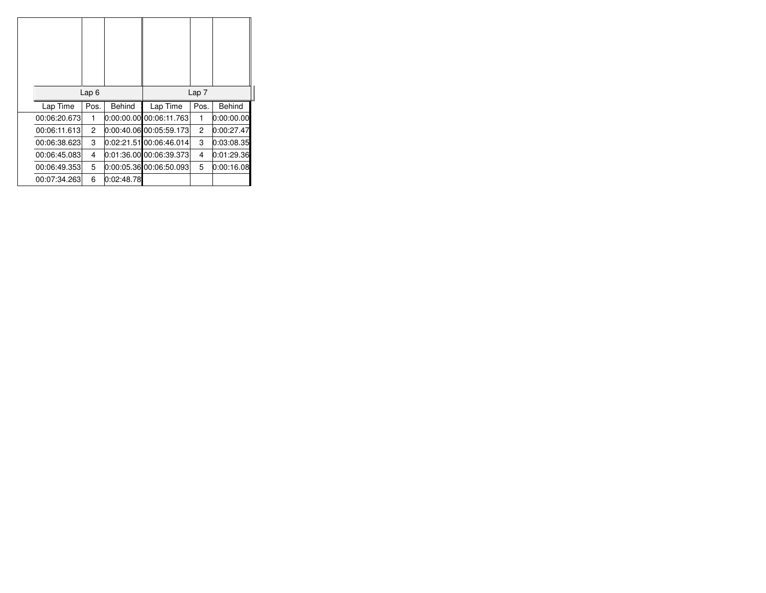|              | Lap6 |               |                         | Lap <sub>7</sub> |               |
|--------------|------|---------------|-------------------------|------------------|---------------|
| Lap Time     | Pos. | <b>Behind</b> | Lap Time                | Pos.             | <b>Behind</b> |
| 00:06:20.673 | 1    |               | 0:00:00.00 00:06:11.763 | 1                | 0:00:00.00    |
| 00:06:11.613 | 2    |               | 0:00:40.06 00:05:59.173 | 2                | 0:00:27.47    |
| 00:06:38.623 | 3    |               | 0:02:21.5100:06:46.014  | 3                | 0:03:08.35    |
| 00:06:45.083 | 4    |               | 0:01:36.00 00:06:39.373 | 4                | 0:01:29.36    |
| 00:06:49.353 | 5    |               | 0:00:05.36 00:06:50.093 | 5                | 0:00:16.08    |
| 00:07:34.263 | 6    | 0:02:48.78    |                         |                  |               |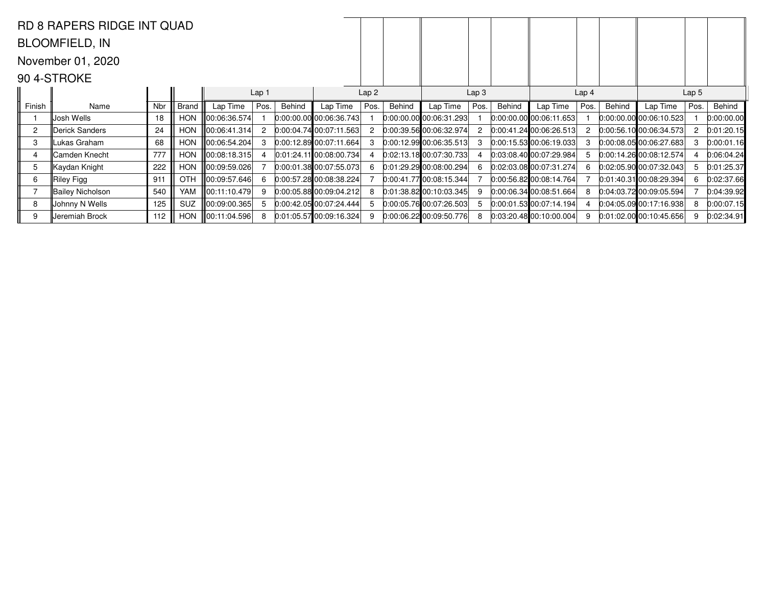|                | <b>RD 8 RAPERS RIDGE INT QUAD</b> |     |            |               |                  |        |                             |      |        |                                 |                  |        |                             |                  |        |                           |                  |            |
|----------------|-----------------------------------|-----|------------|---------------|------------------|--------|-----------------------------|------|--------|---------------------------------|------------------|--------|-----------------------------|------------------|--------|---------------------------|------------------|------------|
|                | <b>BLOOMFIELD, IN</b>             |     |            |               |                  |        |                             |      |        |                                 |                  |        |                             |                  |        |                           |                  |            |
|                | November 01, 2020                 |     |            |               |                  |        |                             |      |        |                                 |                  |        |                             |                  |        |                           |                  |            |
|                | 90 4-STROKE                       |     |            |               |                  |        |                             |      |        |                                 |                  |        |                             |                  |        |                           |                  |            |
|                |                                   |     |            |               | Lap <sub>1</sub> |        |                             | Lap2 |        |                                 | Lap <sub>3</sub> |        |                             | Lap <sub>4</sub> |        |                           | Lap <sub>5</sub> |            |
| Finish         | Name                              | Nbr | Brand      | Lap Time      | Pos.             | Behind | Lap Time                    | Pos. | Behind | Lap Time                        | Pos.             | Behind | Lap Time                    | Pos.             | Behind | Lap Time                  | Pos.             | Behind     |
|                | Josh Wells                        | 18  | <b>HON</b> | 00:06:36.574  |                  |        | $[0:00:00.00]$ 00:06:36.743 |      |        | $[0:00:00.00]$ $[00:06:31.293]$ |                  |        | 0:00:00.00 00:06:11.653     |                  |        | 0:00:00.00 00:06:10.523   |                  | 0:00:00.00 |
| $\overline{c}$ | Derick Sanders                    | 24  | <b>HON</b> | 00:06:41.314  |                  |        | $[0.00.04.74]$ 00:07:11.563 |      |        | $[0:00:39.56]$ 00:06:32.974     |                  |        | $[0:00:41.24]$ 00:06:26.513 |                  |        | 0.00:56.10 00:06:34.573   | 2                | 0:01:20.15 |
| 3              | Lukas Graham                      | 68  | <b>HON</b> | 00:06:54.204  |                  |        | $[0.00:12.89]$ 00:07:11.664 |      |        | $[0:00:12.99]$ 00:06:35.513     | з                |        | 0:00:15.53 00:06:19.033     | 3                |        | 0:00:08.05100:06:27.683   | 3                | 0:00:01.16 |
|                | lCamden Knecht                    | 777 | <b>HON</b> | ∥00:08:18.315 |                  |        | 0.01:24.11 00:08:00.734     |      |        | $[0:02:13.18]$ 00:07:30.733     |                  |        | 0:03:08.40 00:07:29.984     | 5                |        | [0.00:14.26]00:08:12.574] |                  | 0.06.04.24 |
| 5              | Kaydan Knight                     | 222 | <b>HON</b> | ∥00:09:59.026 |                  |        | 0:00:01.38 00:07:55.073     | 6    |        | 0:01:29.29 00:08:00.294         | 6                |        | 0:02:03.08 00:07:31.274     | 6                |        | 0.02.05.90 00.07.32.043   |                  | 0:01:25.37 |
| 6              | ∥Riley Figg                       | 911 | OTH        | 00:09:57.646  |                  |        | 0.00:57.28 00:08:38.224     |      |        | $[0.00:41.77]$ 00:08:15.344     |                  |        | 0.00:56.82 00:08:14.764     |                  |        | 0:01:40.31 00:08:29.394   | 6                | 0:02:37.66 |
|                | Bailey Nicholson                  | 540 | YAM        | ∥00:11:10.479 |                  |        | $0:00:05.88$ 00:09:04.212   |      |        | $0:01:38.82$ 00:10:03.345       |                  |        | $0:00:06.34$ 00:08:51.664   |                  |        | 0.04:03.7200:09:05.594    |                  | 0.04:39.92 |
| 8              | ∥Johnny N Wells                   | 125 | SUZ        | 100:09:00.365 |                  |        | $[0:00:42.05]$ 00:07:24.444 |      |        | $[0:00:05.76]$ 00:07:26.503     |                  |        | $[0:00:01.53]$ 00:07:14.194 |                  |        | 0.04.05.090017.16.938     |                  | 0:00:07.15 |
| 9              | Jeremiah Brock                    | 112 | <b>HON</b> | ∥00:11:04.596 |                  |        | 0:01:05.5700:09:16.324      |      |        | $0:00:06.22$ 00:09:50.776       | 8                |        | 0.03:20.48 00.10:00.004     | 9                |        | 0.01:02.00000:10:45.656   |                  | 0.02:34.91 |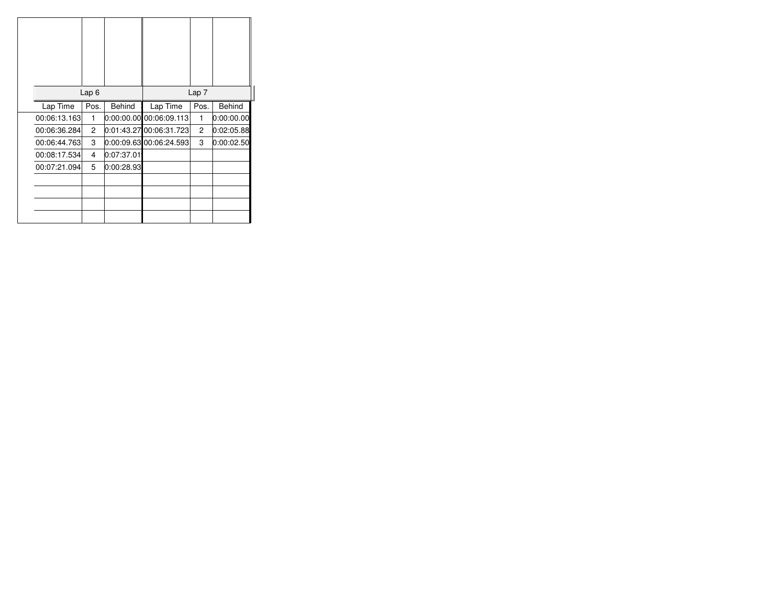|              | Lap <sub>6</sub> |               |                           | Lap <sub>7</sub> |               |
|--------------|------------------|---------------|---------------------------|------------------|---------------|
| Lap Time     | Pos.             | <b>Behind</b> | Lap Time                  | Pos.             | <b>Behind</b> |
| 00:06:13.163 | 1                |               | 0:00:00.00 00:06:09.113   | 1                | 0:00:00.00    |
| 00:06:36.284 | $\overline{c}$   |               | 0:01:43.2700:06:31.723    | $\overline{c}$   | 0:02:05.88    |
| 00:06:44.763 | 3                |               | $0:00:09.63$ 00:06:24.593 | 3                | 0:00:02.50    |
| 00:08:17.534 | 4                | 0:07:37.01    |                           |                  |               |
| 00:07:21.094 | 5                | 0:00:28.93    |                           |                  |               |
|              |                  |               |                           |                  |               |
|              |                  |               |                           |                  |               |
|              |                  |               |                           |                  |               |
|              |                  |               |                           |                  |               |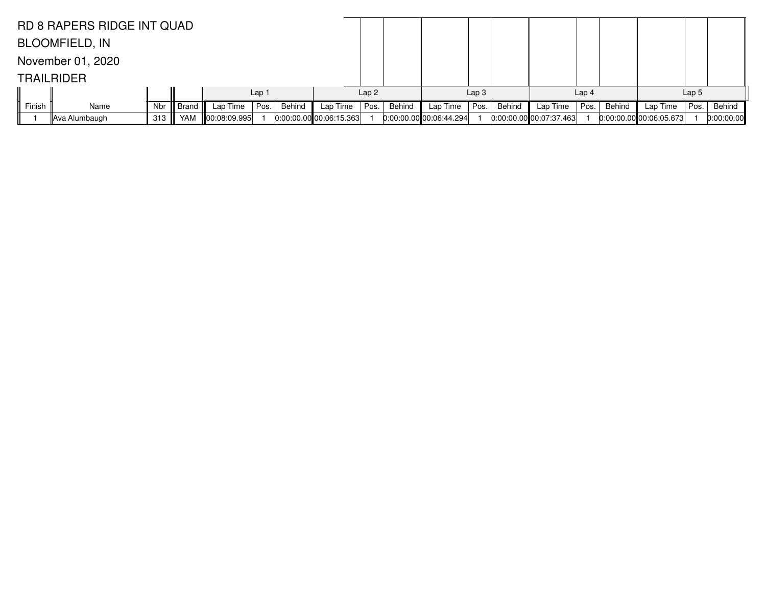|        | <b>RD 8 RAPERS RIDGE INT QUAD</b> |     |            |                    |                  |        |                         |      |        |                           |                  |        |                         |                  |        |                       |                  |            |
|--------|-----------------------------------|-----|------------|--------------------|------------------|--------|-------------------------|------|--------|---------------------------|------------------|--------|-------------------------|------------------|--------|-----------------------|------------------|------------|
|        | <b>BLOOMFIELD, IN</b>             |     |            |                    |                  |        |                         |      |        |                           |                  |        |                         |                  |        |                       |                  |            |
|        | November 01, 2020                 |     |            |                    |                  |        |                         |      |        |                           |                  |        |                         |                  |        |                       |                  |            |
|        | <b>TRAILRIDER</b>                 |     |            |                    |                  |        |                         |      |        |                           |                  |        |                         |                  |        |                       |                  |            |
|        |                                   |     |            |                    | Lap <sub>1</sub> |        |                         | Lap2 |        |                           | Lap <sub>3</sub> |        |                         | Lap <sub>4</sub> |        |                       | Lap <sub>5</sub> |            |
| Finish | Name                              | Nbr | Brand      | Lap Time           | Pos.             | Behind | Lap Time                | Pos. | Behind | Lap Time                  | Pos.             | Behind | Lap Time                | Pos.             | Behind | Lap Time              | Pos.             | Behind     |
|        | ∥Ava Alumbaugh                    | 313 | <b>YAM</b> | $\ 00:08:09.995\ $ |                  |        | 0.00:00.00000:06:15.363 |      |        | $0:00:00.00$ 00:06:44.294 |                  |        | 0:00:00.00000:07:37.463 |                  |        | 0.00.000000000605.673 |                  | 0:00:00.00 |